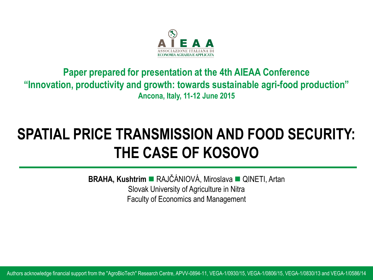

#### **Paper prepared for presentation at the 4th AIEAA Conference "Innovation, productivity and growth: towards sustainable agri-food production" Ancona, Italy, 11-12 June 2015**

#### **SPATIAL PRICE TRANSMISSION AND FOOD SECURITY: THE CASE OF KOSOVO**

**BRAHA, Kushtrim** RAJČÁNIOVÁ, Miroslava QINETI, Artan Slovak University of Agriculture in Nitra Faculty of Economics and Management

Authors acknowledge financial support from the "AgroBioTech" Research Centre, APVV-0894-11, VEGA-1/0930/15, VEGA-1/0806/15, VEGA-1/0830/13 and VEGA-1/0586/14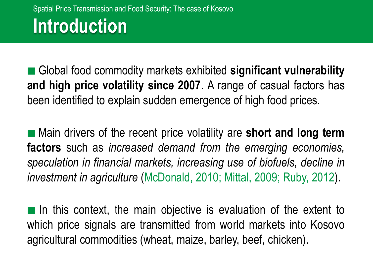Global food commodity markets exhibited **significant vulnerability and high price volatility since 2007**. A range of casual factors has been identified to explain sudden emergence of high food prices.

 Main drivers of the recent price volatility are **short and long term factors** such as *increased demand from the emerging economies, speculation in financial markets, increasing use of biofuels, decline in investment in agriculture* (McDonald, 2010; Mittal, 2009; Ruby, 2012).

In this context, the main objective is evaluation of the extent to which price signals are transmitted from world markets into Kosovo agricultural commodities (wheat, maize, barley, beef, chicken).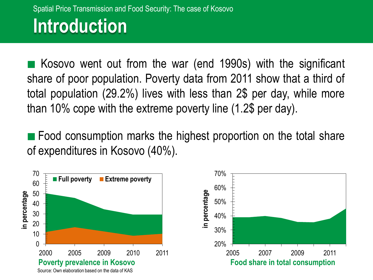## **Introduction**

 Kosovo went out from the war (end 1990s) with the significant share of poor population. Poverty data from 2011 show that a third of total population (29.2%) lives with less than 2\$ per day, while more than 10% cope with the extreme poverty line (1.2\$ per day).

**Food consumption marks the highest proportion on the total share** of expenditures in Kosovo (40%).

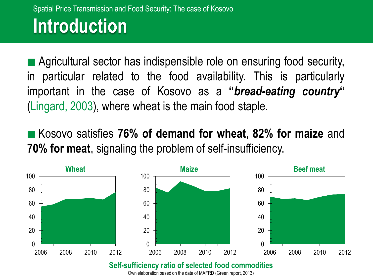## **Introduction**

 Agricultural sector has indispensible role on ensuring food security, in particular related to the food availability. This is particularly important in the case of Kosovo as a **"***bread-eating country***"** (Lingard, 2003), where wheat is the main food staple.

 Kosovo satisfies **76% of demand for wheat**, **82% for maize** and **70% for meat**, signaling the problem of self-insufficiency.



#### **Self-sufficiency ratio of selected food commodities**

Own elaboration based on the data of MAFRD (Green report, 2013)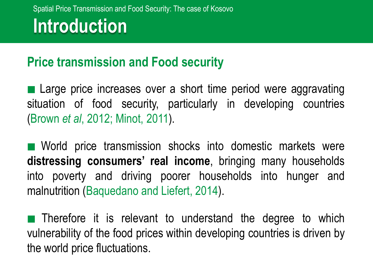### **Introduction**

#### **Price transmission and Food security**

■ Large price increases over a short time period were aggravating situation of food security, particularly in developing countries (Brown *et al*, 2012; Minot, 2011).

**Norich price transmission shocks into domestic markets were distressing consumers' real income**, bringing many households into poverty and driving poorer households into hunger and malnutrition (Baquedano and Liefert, 2014).

**Therefore it is relevant to understand the degree to which** vulnerability of the food prices within developing countries is driven by the world price fluctuations.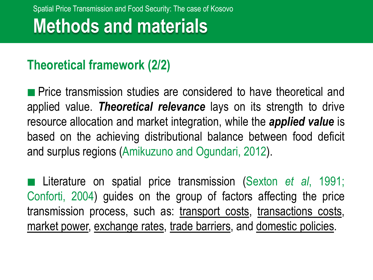#### **Theoretical framework (2/2)**

**Price transmission studies are considered to have theoretical and** applied value. *Theoretical relevance* lays on its strength to drive resource allocation and market integration, while the *applied value* is based on the achieving distributional balance between food deficit and surplus regions (Amikuzuno and Ogundari, 2012).

 Literature on spatial price transmission (Sexton *et al*, 1991; Conforti, 2004) guides on the group of factors affecting the price transmission process, such as: transport costs, transactions costs, market power, exchange rates, trade barriers, and domestic policies.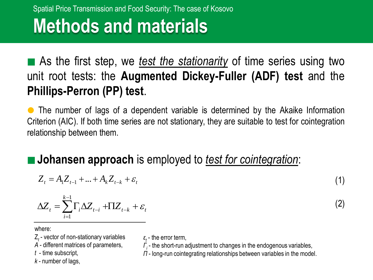## **Methods and materials**

■ As the first step, we *test the stationarity* of time series using two unit root tests: the **Augmented Dickey-Fuller (ADF) test** and the **Phillips-Perron (PP) test**.

 The number of lags of a dependent variable is determined by the Akaike Information Criterion (AIC). If both time series are not stationary, they are suitable to test for cointegration relationship between them.

#### **Johansen approach** is employed to *test for cointegration*:

$$
Z_{t} = A_{1}Z_{t-1} + ... + A_{k}Z_{t-k} + \varepsilon_{t}
$$
\n(1)

$$
\Delta Z_t = \sum_{i=1}^{k-1} \Gamma_i \Delta Z_{t-i} + \Pi Z_{t-k} + \varepsilon_t
$$

(2)

where:

Z*t* - vector of non-stationary variables

*A* - different matrices of parameters,

*t* - time subscript,

*k* - number of lags,

- $\varepsilon$ <sub>*t*</sub> the error term,
- *Γi* the short-run adjustment to changes in the endogenous variables,
- *Π* long-run cointegrating relationships between variables in the model.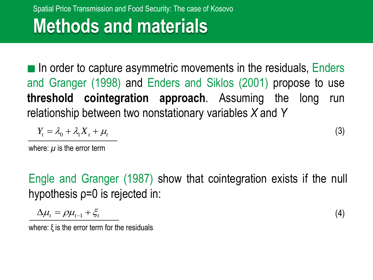# **Methods and materials**

In order to capture asymmetric movements in the residuals, Enders and Granger (1998) and Enders and Siklos (2001) propose to use **threshold cointegration approach**. Assuming the long run relationship between two nonstationary variables *X* and *Y*

$$
Y_t = \lambda_0 + \lambda_1 X_t + \mu_t \tag{3}
$$

where:  $\mu$  is the error term

Engle and Granger (1987) show that cointegration exists if the null hypothesis ρ=0 is rejected in:

$$
\Delta \mu_t = \rho \mu_{t-1} + \xi_t \tag{4}
$$

where: ξ is the error term for the residuals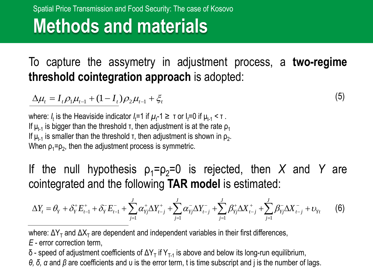# **Methods and materials**

To capture the assymetry in adjustment process, a **two-regime threshold cointegration approach** is adopted:

(5)

 $\Delta \mu_t = I_t \rho_1 \mu_{t-1} + (1 - I_t) \rho_2 \mu_{t-1} + \xi_t$ 

where: *I*<sub>t</sub> is the Heaviside indicator *I*<sub>t</sub>=1 if  $\mu$ <sub>t</sub>-1 ≥ τ or I<sub>t</sub>=0 if μ<sub>t-1</sub> < τ . If  $\mu_{t-1}$  is bigger than the threshold  $\tau$ , then adjustment is at the rate  $\rho_1$ If  $\mu_{t-1}$  is smaller than the threshold  $\tau$ , then adjustment is shown in  $\rho_2$ . When  $p_1 = p_2$ , then the adjustment process is symmetric.

If the null hypothesis  $p_1 = p_2 = 0$  is rejected, then *X* and *Y* are cointegrated and the following **TAR model** is estimated:

$$
\Delta Y_{t} = \theta_{Y} + \delta_{Y}^{+} E_{t-1}^{+} + \delta_{Y}^{-} E_{t-1}^{-} + \sum_{j=1}^{J} \alpha_{Yj}^{+} \Delta Y_{t-j}^{+} + \sum_{j=1}^{J} \alpha_{Yj}^{-} \Delta Y_{t-j}^{-} + \sum_{j=1}^{J} \beta_{Yj}^{+} \Delta X_{t-j}^{+} + \sum_{j=1}^{J} \beta_{Yj}^{-} \Delta X_{t-j}^{-} + \upsilon_{Yt}
$$
(6)

where: ΔY<sub>T</sub> and ΔX<sub>T</sub> are dependent and independent variables in their first differences, *E* - error correction term,

δ - speed of adjustment coefficients of ΔY<sub>T</sub> if Y<sub>T-1</sub> is above and below its long-run equilibrium,

*θ, δ, α* and *β* are coefficients and υ is the error term, t is time subscript and j is the number of lags.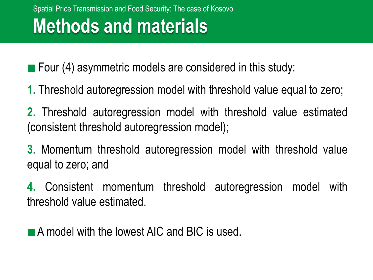■ Four (4) asymmetric models are considered in this study:

- **1.** Threshold autoregression model with threshold value equal to zero;
- **2.** Threshold autoregression model with threshold value estimated (consistent threshold autoregression model);
- **3.** Momentum threshold autoregression model with threshold value equal to zero; and

**4.** Consistent momentum threshold autoregression model with threshold value estimated.

**A model with the lowest AIC and BIC is used.**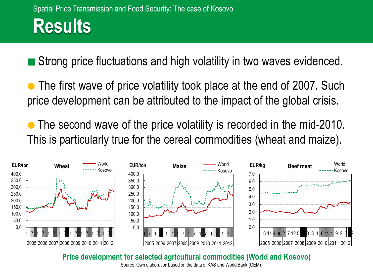Strong price fluctuations and high volatility in two waves evidenced.

• The first wave of price volatility took place at the end of 2007. Such price development can be attributed to the impact of the global crisis.

 The second wave of the price volatility is recorded in the mid-2010. This is particularly true for the cereal commodities (wheat and maize).



**Price development for selected agricultural commodities (World and Kosovo)**

Source: Own elaboration based on the data of KAS and World Bank (GEM)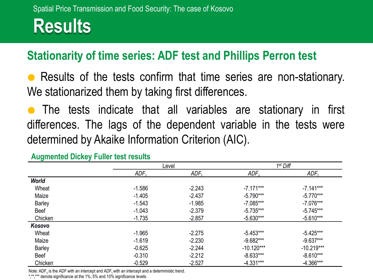#### **Stationarity of time series: ADF test and Phillips Perron test**

 Results of the tests confirm that time series are non-stationary. We stationarized them by taking first differences.

 The tests indicate that all variables are stationary in first differences. The lags of the dependent variable in the tests were determined by Akaike Information Criterion (AIC).

|               |          | Level    | $1st$ Diff   |              |  |  |
|---------------|----------|----------|--------------|--------------|--|--|
|               | $ADE_c$  | $ADF_t$  | $ADE_c$      | $ADE_t$      |  |  |
| <b>World</b>  |          |          |              |              |  |  |
| Wheat         | $-1.586$ | $-2.243$ | $-7.171***$  | $-7.141***$  |  |  |
| Maize         | $-1.405$ | $-2.437$ | $-5.790***$  | $-5.770***$  |  |  |
| <b>Barley</b> | $-1.543$ | $-1.985$ | $-7.085***$  | $-7.076***$  |  |  |
| <b>Beef</b>   | $-1.043$ | $-2.379$ | $-5.735***$  | $-5.745***$  |  |  |
| Chicken       | $-1.735$ | $-2.857$ | $-5.630***$  | $-5.610***$  |  |  |
| Kosovo        |          |          |              |              |  |  |
| Wheat         | $-1.965$ | $-2.275$ | $-5.453***$  | $-5.425***$  |  |  |
| Maize         | $-1.619$ | $-2.230$ | $-9.682***$  | $-9.637***$  |  |  |
| <b>Barley</b> | $-0.625$ | $-2.244$ | $-10.120***$ | $-10.219***$ |  |  |
| <b>Beef</b>   | $-0.310$ | $-2.212$ | $-8.633***$  | $-8.610***$  |  |  |
| Chicken       | $-0.529$ | $-2.527$ | $-4.331***$  | $-4.366***$  |  |  |

**Augmented Dickey Fuller test results**

Note: ADF<sub>c</sub> is the ADF with an intercept and ADF<sub>t</sub> with an intercept and a deterministic trend.

\*,\*\*,\*\*\* denote significance at the 1%, 5% and 10% significance levels.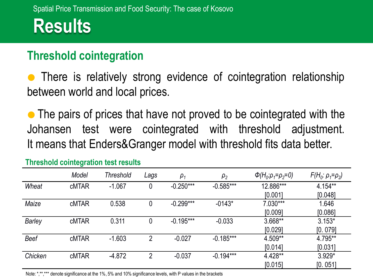#### **Threshold cointegration**

 There is relatively strong evidence of cointegration relationship between world and local prices.

• The pairs of prices that have not proved to be cointegrated with the Johansen test were cointegrated with threshold adjustment. It means that Enders&Granger model with threshold fits data better.

|               | Model        | Threshold | Lags           | $\rho_1$    | $\rho_2$    | $\Phi(H_0:\rho_1=\rho_2=0)$ | $F(H_0: \rho_1 = \rho_2)$ |
|---------------|--------------|-----------|----------------|-------------|-------------|-----------------------------|---------------------------|
| Wheat         | <b>cMTAR</b> | $-1.067$  | 0              | $-0.250***$ | $-0.585***$ | 12.886***                   | $4.154***$                |
|               |              |           |                |             |             | [0.001]                     | [0.048]                   |
| Maize         | <b>cMTAR</b> | 0.538     | 0              | $-0.299***$ | $-0143*$    | $7.030***$                  | 1.646                     |
|               |              |           |                |             |             | [0.009]                     | [0.086]                   |
| <b>Barley</b> | <b>cMTAR</b> | 0.311     | 0              | $-0.195***$ | $-0.033$    | 3.668**                     | $3.153*$                  |
|               |              |           |                |             |             | [0.029]                     | [0.079]                   |
| <b>Beef</b>   | <b>cMTAR</b> | $-1.603$  | $\mathcal{P}$  | $-0.027$    | $-0.185***$ | 4.509**                     | 4.795**                   |
|               |              |           |                |             |             | [0.014]                     | [0.031]                   |
| Chicken       | <b>cMTAR</b> | $-4.872$  | $\overline{2}$ | $-0.037$    | $-0.194***$ | 4.428**                     | $3.929*$                  |
|               |              |           |                |             |             | [0.015]                     | [0.051]                   |

**Threshold cointegration test results**

Note: \*,\*\*,\*\*\* denote significance at the 1%, 5% and 10% significance levels, with P values in the brackets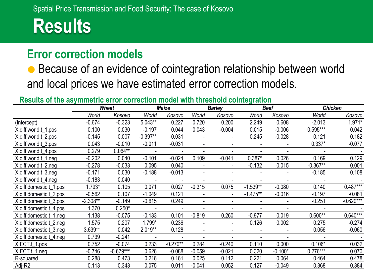## **Results**

#### **Error correction models**

 Because of an evidence of cointegration relationship between world and local prices we have estimated error correction models.

#### **Results of the asymmetric error correction model with threshold cointegration**

|                         | <b>Wheat</b> |             | <b>Maize</b> |            | <b>Barley</b>  |                          | <b>Beef</b> |           | <b>Chicken</b> |             |
|-------------------------|--------------|-------------|--------------|------------|----------------|--------------------------|-------------|-----------|----------------|-------------|
|                         | World        | Kosovo      | World        | Kosovo     | World          | Kosovo                   | World       | Kosovo    | World          | Kosovo      |
| (Intercept)             | $-0.674$     | $-0.323$    | 5.043**      | 0.227      | 0.720          | 0.200                    | 2.249       | 0.608     | $-2.013$       | $1.971*$    |
| X.diff.world.t_1.pos    | 0.100        | 0.030       | $-0.197$     | 0.044      | 0.043          | $-0.004$                 | 0.015       | $-0.006$  | 0.595***       | 0.042       |
| X.diff.world.t 2.pos    | $-0.145$     | 0.007       | $-0.397**$   | $-0.031$   |                |                          | 0.245       | $-0.028$  | 0.121          | 0.182       |
| X.diff.world.t 3.pos    | 0.043        | $-0.010$    | $-0.011$     | $-0.031$   |                |                          |             |           | $0.337*$       | $-0.077$    |
| X.diff.world.t_4.pos    | 0.279        | $0.064**$   |              |            |                |                          |             |           |                |             |
| X.diff.world.t 1.neg    | $-0.202$     | 0.040       | $-0.101$     | $-0.024$   | 0.109          | $-0.041$                 | $0.387*$    | 0.026     | 0.169          | 0.129       |
| X.diff.world.t 2.neg    | $-0.278$     | $-0.033$    | 0.095        | 0.040      |                |                          | $-0.132$    | 0.015     | $-0.367**$     | 0.001       |
| X.diff.world.t 3.neg    | $-0.171$     | 0.030       | $-0.188$     | $-0.013$   | $\blacksquare$ |                          |             |           | $-0.185$       | 0.108       |
| X.diff.world.t 4.neg    | $-0.183$     | 0.040       |              |            |                |                          |             |           |                |             |
| X.diff.domestic.t_1.pos | $1.793*$     | 0.105       | 0.071        | 0.027      | $-0.315$       | 0.075                    | $-1.539**$  | $-0.080$  | 0.140          | $0.487***$  |
| X.diff.domestic.t 2.pos | $-0.562$     | 0.107       | $-1.049$     | 0.121      |                | $\overline{\phantom{a}}$ | $-1.475**$  | $-0.016$  | $-0.197$       | $-0.081$    |
| X.diff.domestic.t 3.pos | $-2.308**$   | $-0.149$    | $-0.615$     | 0.249      |                |                          |             |           | $-0.251$       | $-0.620***$ |
| X.diff.domestic.t_4.pos | 1.370        | $0.250*$    |              |            |                |                          |             |           |                |             |
| X.diff.domestic.t 1.neg | 1.138        | $-0.075$    | $-0.133$     | 0.101      | $-0.819$       | 0.260                    | $-0.977$    | 0.019     | $0.600**$      | $0.640***$  |
| X.diff.domestic.t 2.neg | 1.575        | 0.207       | 1.799*       | 0.236      | $\blacksquare$ | $\overline{\phantom{a}}$ | 0.126       | 0.002     | 0.275          | $-0.274$    |
| X.diff.domestic.t 3.neg | 3.639**      | 0.042       | 2.019**      | 0.128      | $\blacksquare$ |                          |             |           | 0.056          | $-0.060$    |
| X.diff.domestic.t_4.neg | 0.739        | $-0.241$    |              |            |                |                          |             |           |                |             |
| X.ECT.t 1.pos           | 0.752        | $-0.074$    | 0.233        | $-0.270**$ | 0.284          | $-0.240$                 | 0.110       | 0.000     | $0.106*$       | 0.032       |
| $X.ECT.t_1.$ neg        | $-0.746$     | $-0.679***$ | 0.626        | $-0.088$   | $-0.059$       | $-0.021$                 | 0.320       | $-0.100*$ | $0.276***$     | 0.070       |
| R-squared               | 0.288        | 0.473       | 0.216        | 0.161      | 0.025          | 0.112                    | 0.221       | 0.064     | 0.464          | 0.478       |
| Adj-R2                  | 0.113        | 0.343       | 0.075        | 0.011      | $-0.041$       | 0.052                    | 0.127       | $-0.049$  | 0.368          | 0.384       |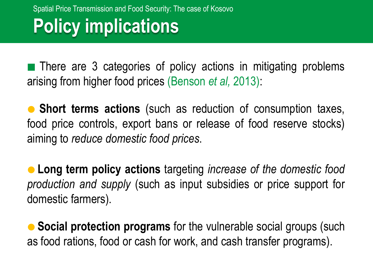## **Policy implications**

**There are 3 categories of policy actions in mitigating problems** arising from higher food prices (Benson *et al,* 2013):

 **Short terms actions** (such as reduction of consumption taxes, food price controls, export bans or release of food reserve stocks) aiming to *reduce domestic food prices*.

 **Long term policy actions** targeting *increase of the domestic food production and supply* (such as input subsidies or price support for domestic farmers).

 **Social protection programs** for the vulnerable social groups (such as food rations, food or cash for work, and cash transfer programs).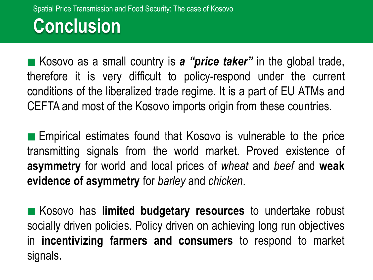### **Conclusion**

■ Kosovo as a small country is *a "price taker"* in the global trade, therefore it is very difficult to policy-respond under the current conditions of the liberalized trade regime. It is a part of EU ATMs and CEFTA and most of the Kosovo imports origin from these countries.

 Empirical estimates found that Kosovo is vulnerable to the price transmitting signals from the world market. Proved existence of **asymmetry** for world and local prices of *wheat* and *beef* and **weak evidence of asymmetry** for *barley* and *chicken*.

 Kosovo has **limited budgetary resources** to undertake robust socially driven policies. Policy driven on achieving long run objectives in **incentivizing farmers and consumers** to respond to market signals.